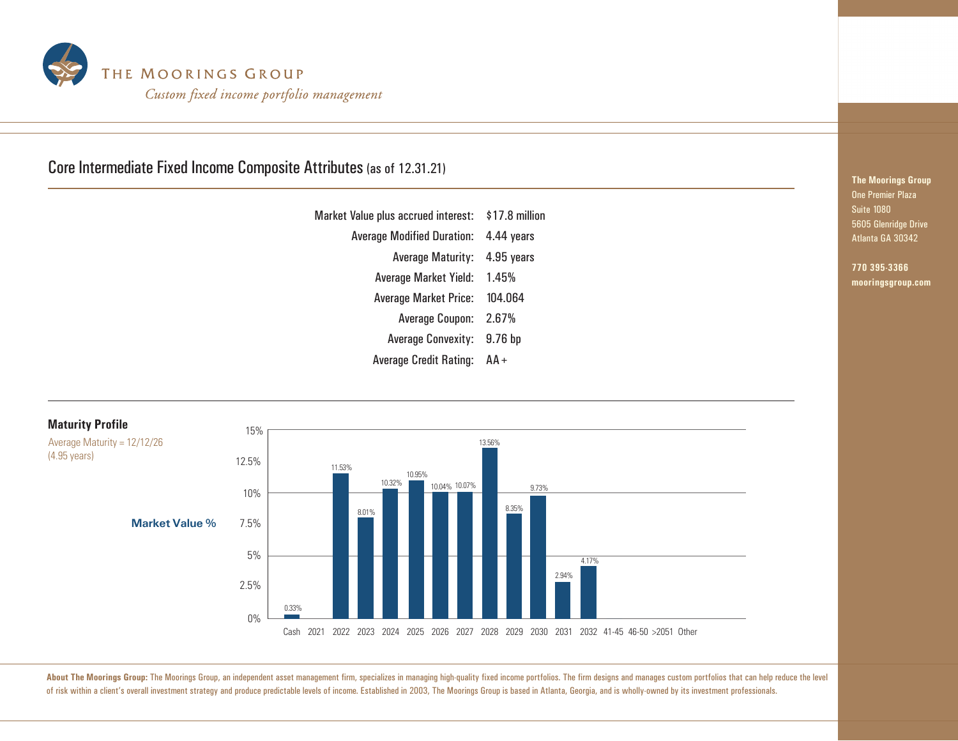

## Core Intermediate Fixed Income Composite Attributes (as of 12.31.21)

| Market Value plus accrued interest: \$17.8 million |                    |
|----------------------------------------------------|--------------------|
| <b>Average Modified Duration:</b>                  | 4.44 years         |
| <b>Average Maturity:</b>                           | 4.95 years         |
| Average Market Yield: 1.45%                        |                    |
| <b>Average Market Price:</b>                       | 104.064            |
| Average Coupon: 2.67%                              |                    |
| <b>Average Convexity:</b>                          | 9.76 <sub>bp</sub> |
| <b>Average Credit Rating:</b>                      | AA+                |



## About The Moorings Group: The Moorings Group, an independent asset management firm, specializes in managing high-quality fixed income portfolios. The firm designs and manages custom portfolios that can help reduce the leve of risk within a client's overall investment strategy and produce predictable levels of income. Established in 2003, The Moorings Group is based in Atlanta, Georgia, and is wholly-owned by its investment professionals.

**The Moorings Group** One Premier Plaza Suite 1080 5605 Glenridge Drive Atlanta GA 30342

**770 395-3366 mooringsgroup.com**